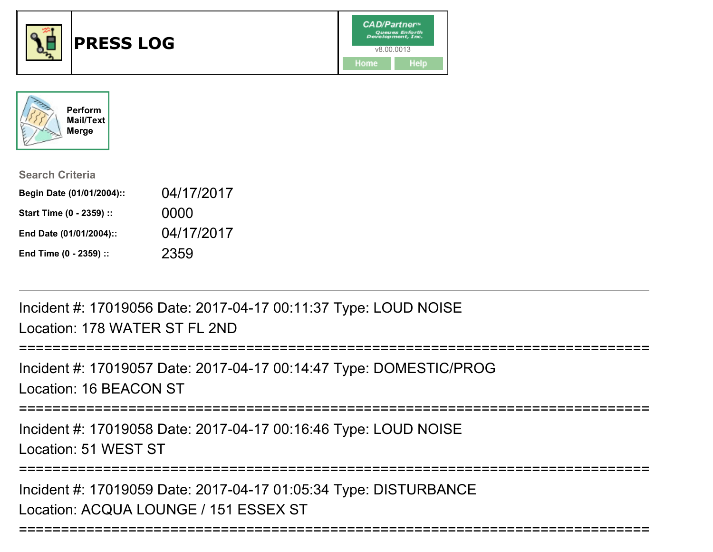



| <b>Search Criteria</b>    |            |
|---------------------------|------------|
| Begin Date (01/01/2004):: | 04/17/2017 |
| Start Time (0 - 2359) ::  | 0000       |
| End Date (01/01/2004)::   | 04/17/2017 |
| End Time (0 - 2359) ::    | 2359       |

Incident #: 17019056 Date: 2017-04-17 00:11:37 Type: LOUD NOISELocation: 178 WATER ST FL 2ND

```
==============
Incident #: 17019057 Date: 2017-04-17 00:14:47 Type: DOMESTIC/PROGLocation: 16 BEACON ST===========================================================================
```
Incident #: 17019058 Date: 2017-04-17 00:16:46 Type: LOUD NOISE

Location: 51 WEST ST

===========================================================================

Incident #: 17019059 Date: 2017-04-17 01:05:34 Type: DISTURBANCELocation: ACQUA LOUNGE / 151 ESSEX ST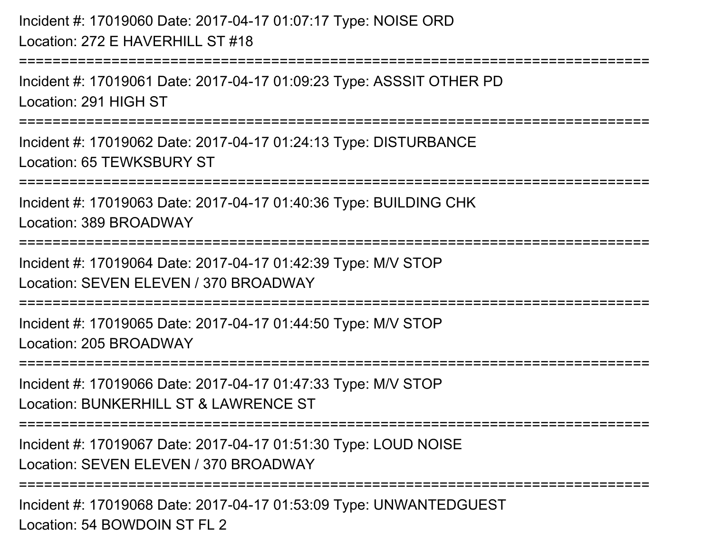Incident #: 17019060 Date: 2017-04-17 01:07:17 Type: NOISE ORDLocation: 272 E HAVERHILL ST #18===========================================================================Incident #: 17019061 Date: 2017-04-17 01:09:23 Type: ASSSIT OTHER PDLocation: 291 HIGH ST===========================================================================Incident #: 17019062 Date: 2017-04-17 01:24:13 Type: DISTURBANCELocation: 65 TEWKSBURY ST===========================================================================Incident #: 17019063 Date: 2017-04-17 01:40:36 Type: BUILDING CHKLocation: 389 BROADWAY===========================================================================Incident #: 17019064 Date: 2017-04-17 01:42:39 Type: M/V STOPLocation: SEVEN ELEVEN / 370 BROADWAY===========================================================================Incident #: 17019065 Date: 2017-04-17 01:44:50 Type: M/V STOPLocation: 205 BROADWAY===========================================================================Incident #: 17019066 Date: 2017-04-17 01:47:33 Type: M/V STOPLocation: BUNKERHILL ST & LAWRENCE ST ===========================================================================Incident #: 17019067 Date: 2017-04-17 01:51:30 Type: LOUD NOISELocation: SEVEN ELEVEN / 370 BROADWAY**================** Incident #: 17019068 Date: 2017-04-17 01:53:09 Type: UNWANTEDGUEST

Location: 54 BOWDOIN ST FL 2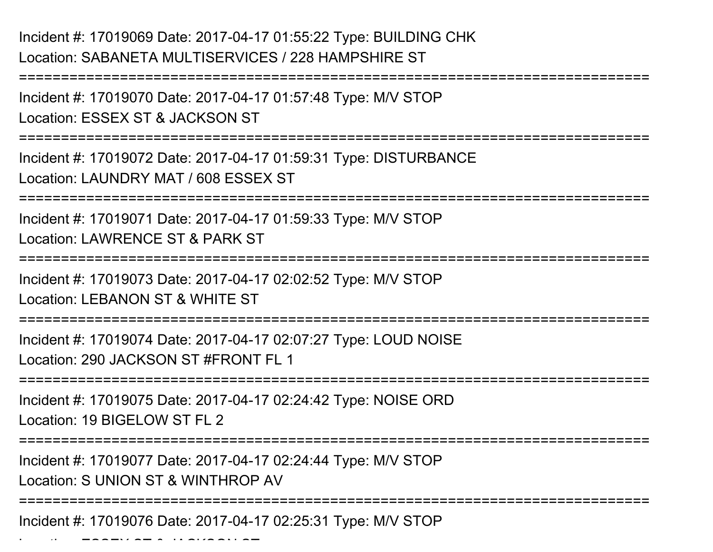Incident #: 17019070 Date: 2017-04-17 01:57:48 Type: M/V STOPLocation: ESSEX ST & JACKSON ST

===========================================================================

===========================================================================

Incident #: 17019072 Date: 2017-04-17 01:59:31 Type: DISTURBANCELocation: LAUNDRY MAT / 608 ESSEX ST

===========================================================================

Incident #: 17019071 Date: 2017-04-17 01:59:33 Type: M/V STOPLocation: LAWRENCE ST & PARK ST

===========================================================================

Incident #: 17019073 Date: 2017-04-17 02:02:52 Type: M/V STOPLocation: LEBANON ST & WHITE ST

===========================================================================

Incident #: 17019074 Date: 2017-04-17 02:07:27 Type: LOUD NOISE

Location: 290 JACKSON ST #FRONT FL 1

===========================================================================

Incident #: 17019075 Date: 2017-04-17 02:24:42 Type: NOISE ORDLocation: 19 BIGELOW ST FL 2

===========================================================================

Incident #: 17019077 Date: 2017-04-17 02:24:44 Type: M/V STOP

Location: S UNION ST & WINTHROP AV

 $\mathcal{L}$   $\mathcal{L}$   $\mathcal{L}$   $\mathcal{L}$   $\mathcal{L}$   $\mathcal{L}$   $\mathcal{L}$   $\mathcal{L}$   $\mathcal{L}$   $\mathcal{L}$   $\mathcal{L}$   $\mathcal{L}$   $\mathcal{L}$   $\mathcal{L}$   $\mathcal{L}$   $\mathcal{L}$   $\mathcal{L}$   $\mathcal{L}$   $\mathcal{L}$   $\mathcal{L}$   $\mathcal{L}$   $\mathcal{L}$   $\mathcal{L}$   $\mathcal{L}$   $\mathcal{$ 

===========================================================================

Incident #: 17019076 Date: 2017-04-17 02:25:31 Type: M/V STOP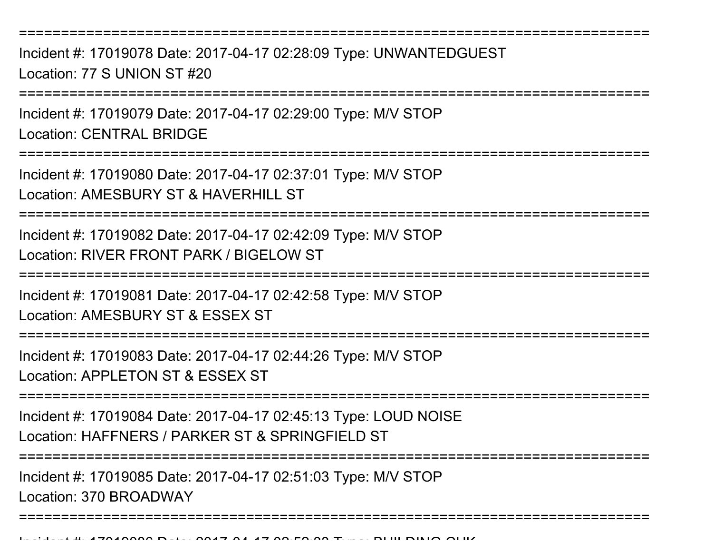===========================================================================

Incident #: 17019078 Date: 2017-04-17 02:28:09 Type: UNWANTEDGUESTLocation: 77 S UNION ST #20

===========================================================================

Incident #: 17019079 Date: 2017-04-17 02:29:00 Type: M/V STOPLocation: CENTRAL BRIDGE

===========================================================================

Incident #: 17019080 Date: 2017-04-17 02:37:01 Type: M/V STOPLocation: AMESBURY ST & HAVERHILL ST

===========================================================================

Incident #: 17019082 Date: 2017-04-17 02:42:09 Type: M/V STOPLocation: RIVER FRONT PARK / BIGFI OW ST

===========================================================================

Incident #: 17019081 Date: 2017-04-17 02:42:58 Type: M/V STOP

Location: AMESBURY ST & ESSEX ST

===========================================================================

Incident #: 17019083 Date: 2017-04-17 02:44:26 Type: M/V STOP

Location: APPLETON ST & ESSEX ST

===========================================================================

Incident #: 17019084 Date: 2017-04-17 02:45:13 Type: LOUD NOISELocation: HAFFNERS / PARKER ST & SPRINGFIELD ST

===========================================================================

===========================================================================

Incident #: 17019085 Date: 2017-04-17 02:51:03 Type: M/V STOP

Location: 370 BROADWAY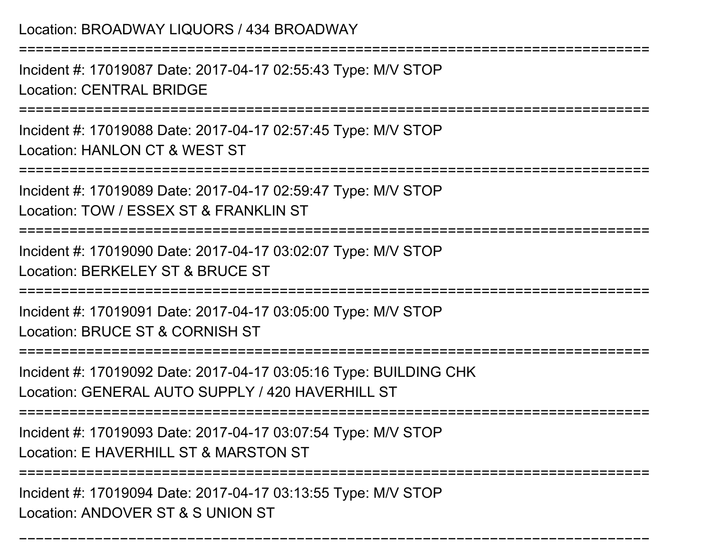Location: BROADWAY LIQUORS / 434 BROADWAY===========================================================================Incident #: 17019087 Date: 2017-04-17 02:55:43 Type: M/V STOPLocation: CENTRAL BRIDGE===========================================================================Incident #: 17019088 Date: 2017-04-17 02:57:45 Type: M/V STOPLocation: HANLON CT & WEST ST===========================================================================Incident #: 17019089 Date: 2017-04-17 02:59:47 Type: M/V STOPLocation: TOW / FSSEX ST & FRANKLIN ST ===========================================================================Incident #: 17019090 Date: 2017-04-17 03:02:07 Type: M/V STOPLocation: BERKELEY ST & BRUCE ST===========================================================================Incident #: 17019091 Date: 2017-04-17 03:05:00 Type: M/V STOPLocation: BRUCE ST & CORNISH ST===========================================================================Incident #: 17019092 Date: 2017-04-17 03:05:16 Type: BUILDING CHKLocation: GENERAL AUTO SUPPLY / 420 HAVERHILL ST===========================================================================Incident #: 17019093 Date: 2017-04-17 03:07:54 Type: M/V STOPLocation: E HAVERHILL ST & MARSTON ST ===========================================================================Incident #: 17019094 Date: 2017-04-17 03:13:55 Type: M/V STOPLocation: ANDOVER ST & S UNION ST

===========================================================================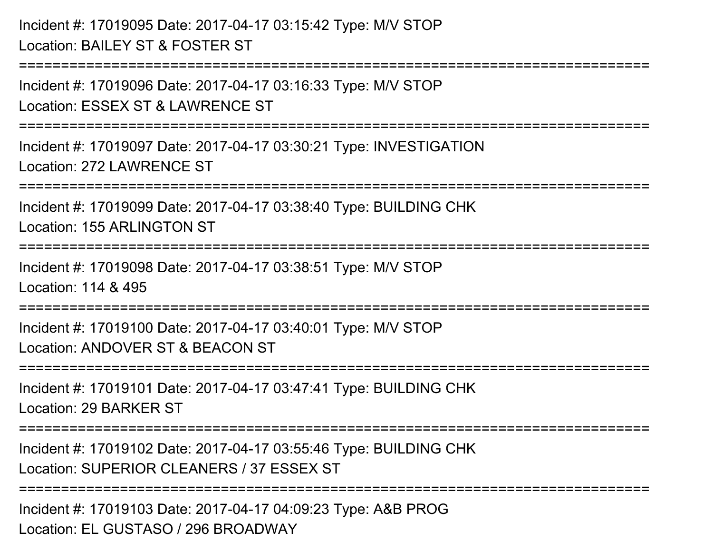Incident #: 17019095 Date: 2017-04-17 03:15:42 Type: M/V STOPLocation: BAILEY ST & FOSTER ST

Incident #: 17019096 Date: 2017-04-17 03:16:33 Type: M/V STOPLocation: ESSEX ST & LAWRENCE ST

===========================================================================

===========================================================================

Incident #: 17019097 Date: 2017-04-17 03:30:21 Type: INVESTIGATIONLocation: 272 LAWRENCE ST

===========================================================================

Incident #: 17019099 Date: 2017-04-17 03:38:40 Type: BUILDING CHKLocation: 155 ARLINGTON ST

==================================

Incident #: 17019098 Date: 2017-04-17 03:38:51 Type: M/V STOP

Location: 114 & 495

===========================================================================

Incident #: 17019100 Date: 2017-04-17 03:40:01 Type: M/V STOP

Location: ANDOVER ST & BEACON ST

===========================================================================

Incident #: 17019101 Date: 2017-04-17 03:47:41 Type: BUILDING CHKLocation: 29 BARKER ST

===========================================================================

Incident #: 17019102 Date: 2017-04-17 03:55:46 Type: BUILDING CHKLocation: SUPERIOR CLEANERS / 37 ESSEX ST

===========================================================================

Incident #: 17019103 Date: 2017-04-17 04:09:23 Type: A&B PROGLocation: EL GUSTASO / 296 BROADWAY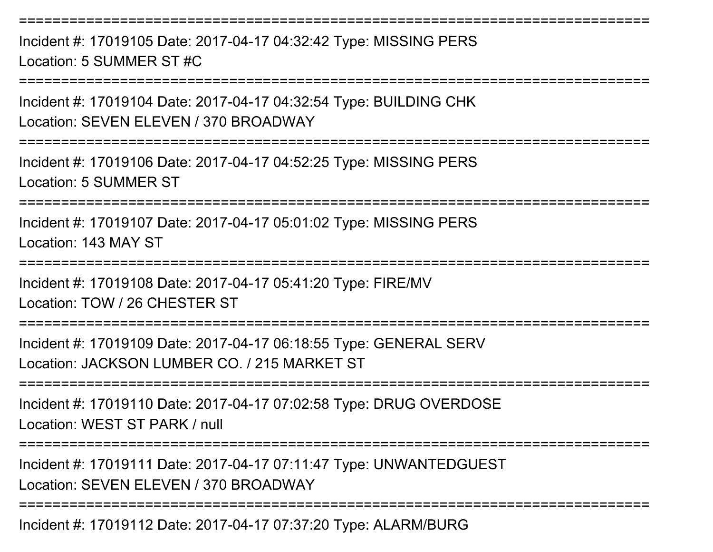Incident #: 17019105 Date: 2017-04-17 04:32:42 Type: MISSING PERSLocation: 5 SUMMER ST #C

===========================================================================

===========================================================================

Incident #: 17019104 Date: 2017-04-17 04:32:54 Type: BUILDING CHKLocation: SEVEN ELEVEN / 370 BROADWAY

===========================================================================

Incident #: 17019106 Date: 2017-04-17 04:52:25 Type: MISSING PERSLocation: 5 SUMMER ST

===========================================================================

Incident #: 17019107 Date: 2017-04-17 05:01:02 Type: MISSING PERSLocation: 143 MAY ST

===========================================================================

Incident #: 17019108 Date: 2017-04-17 05:41:20 Type: FIRE/MV

Location: TOW / 26 CHESTER ST

===========================================================================

Incident #: 17019109 Date: 2017-04-17 06:18:55 Type: GENERAL SERVLocation: JACKSON LUMBER CO. / 215 MARKET ST

===========================================================================

Incident #: 17019110 Date: 2017-04-17 07:02:58 Type: DRUG OVERDOSELocation: WEST ST PARK / null

===========================================================================

Incident #: 17019111 Date: 2017-04-17 07:11:47 Type: UNWANTEDGUESTLocation: SEVEN ELEVEN / 370 BROADWAY

===========================================================================

Incident #: 17019112 Date: 2017-04-17 07:37:20 Type: ALARM/BURG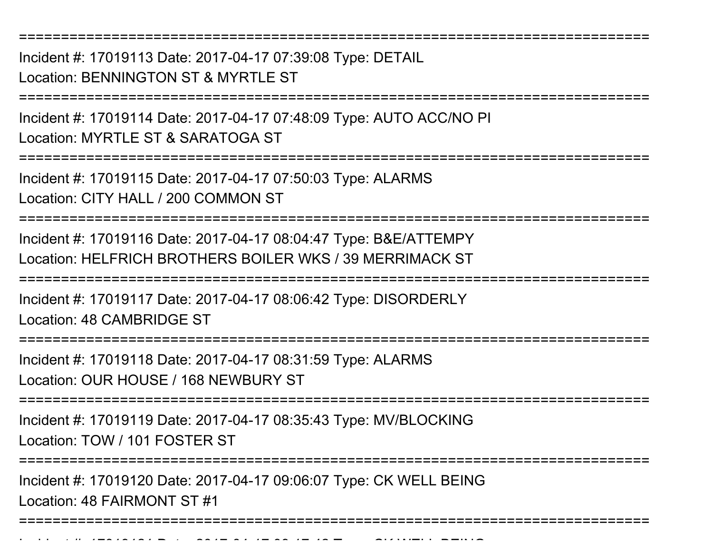Incident #: 17019113 Date: 2017-04-17 07:39:08 Type: DETAILLocation: BENNINGTON ST & MYRTLE ST

===========================================================================

===========================================================================

Incident #: 17019114 Date: 2017-04-17 07:48:09 Type: AUTO ACC/NO PILocation: MYRTLE ST & SARATOGA ST

===========================================================================

Incident #: 17019115 Date: 2017-04-17 07:50:03 Type: ALARMS

Location: CITY HALL / 200 COMMON ST

===========================================================================

Incident #: 17019116 Date: 2017-04-17 08:04:47 Type: B&E/ATTEMPYLocation: HELFRICH BROTHERS BOILER WKS / 39 MERRIMACK ST

===========================================================================

Incident #: 17019117 Date: 2017-04-17 08:06:42 Type: DISORDERLYLocation: 48 CAMBRIDGE ST

===========================================================================

Incident #: 17019118 Date: 2017-04-17 08:31:59 Type: ALARMS

Location: OUR HOUSE / 168 NEWBURY ST

Incident #: 17019121 Date: 2017

===========================================================================

Incident #: 17019119 Date: 2017-04-17 08:35:43 Type: MV/BLOCKINGLocation: TOW / 101 FOSTER ST

===========================================================================

Incident #: 17019120 Date: 2017-04-17 09:06:07 Type: CK WELL BEINGLocation: 48 FAIRMONT ST #1

===========================================================================

<sup>04</sup> 17 09:17:42 Type: CK WELL BEING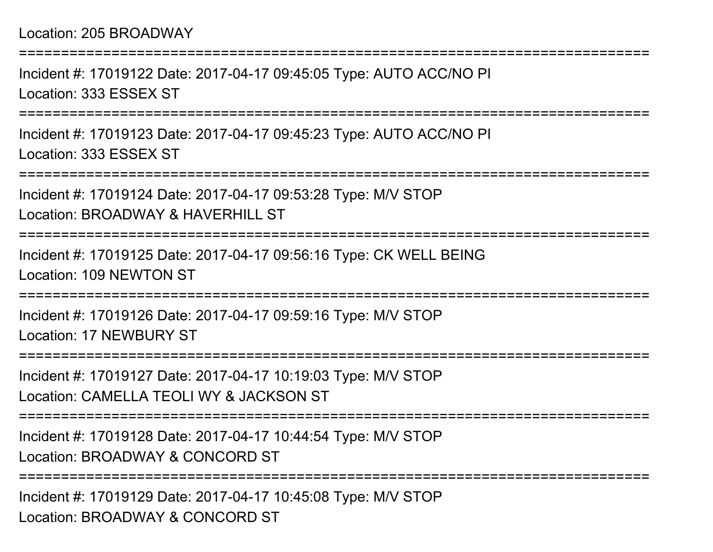## Location: 205 BROADWAY

Incident #: 17019122 Date: 2017-04-17 09:45:05 Type: AUTO ACC/NO PILocation: 333 ESSEX ST

===========================================================================

===========================================================================

Incident #: 17019123 Date: 2017-04-17 09:45:23 Type: AUTO ACC/NO PILocation: 333 ESSEX ST

===========================================================================

Incident #: 17019124 Date: 2017-04-17 09:53:28 Type: M/V STOPLocation: BROADWAY & HAVERHILL ST

===========================================================================

Incident #: 17019125 Date: 2017-04-17 09:56:16 Type: CK WELL BEINGLocation: 109 NEWTON ST

===========================================================================

Incident #: 17019126 Date: 2017-04-17 09:59:16 Type: M/V STOPLocation: 17 NEWBURY ST

===========================================================================

Incident #: 17019127 Date: 2017-04-17 10:19:03 Type: M/V STOPLocation: CAMELLA TEOLI WY & JACKSON ST

===========================================================================

Incident #: 17019128 Date: 2017-04-17 10:44:54 Type: M/V STOPLocation: BROADWAY & CONCORD ST

===========================================================================

Incident #: 17019129 Date: 2017-04-17 10:45:08 Type: M/V STOPLocation: BROADWAY & CONCORD ST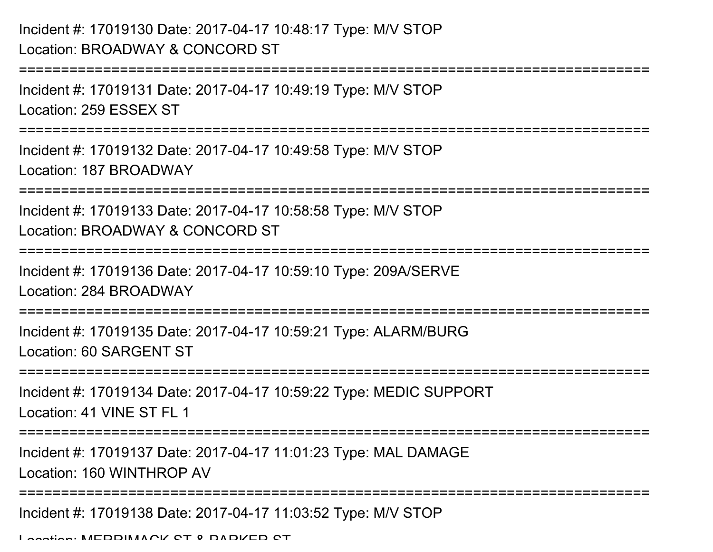## Incident #: 17019130 Date: 2017-04-17 10:48:17 Type: M/V STOPLocation: BROADWAY & CONCORD ST

```
===========================================================================Incident #: 17019131 Date: 2017-04-17 10:49:19 Type: M/V STOPLocation: 259 ESSEX ST===========================================================================Incident #: 17019132 Date: 2017-04-17 10:49:58 Type: M/V STOPLocation: 187 BROADWAY
===========================================================================Incident #: 17019133 Date: 2017-04-17 10:58:58 Type: M/V STOPLocation: BROADWAY & CONCORD ST===========================================================================Incident #: 17019136 Date: 2017-04-17 10:59:10 Type: 209A/SERVELocation: 284 BROADWAY===========================================================================Incident #: 17019135 Date: 2017-04-17 10:59:21 Type: ALARM/BURGLocation: 60 SARGENT ST===========================================================================Incident #: 17019134 Date: 2017-04-17 10:59:22 Type: MEDIC SUPPORTLocation: 41 VINE ST FL 1===========================================================================Incident #: 17019137 Date: 2017-04-17 11:01:23 Type: MAL DAMAGELocation: 160 WINTHROP AV===========================================================================Incident #: 17019138 Date: 2017-04-17 11:03:52 Type: M/V STOPLocation: MERRIMACK ST & PARKER ST
```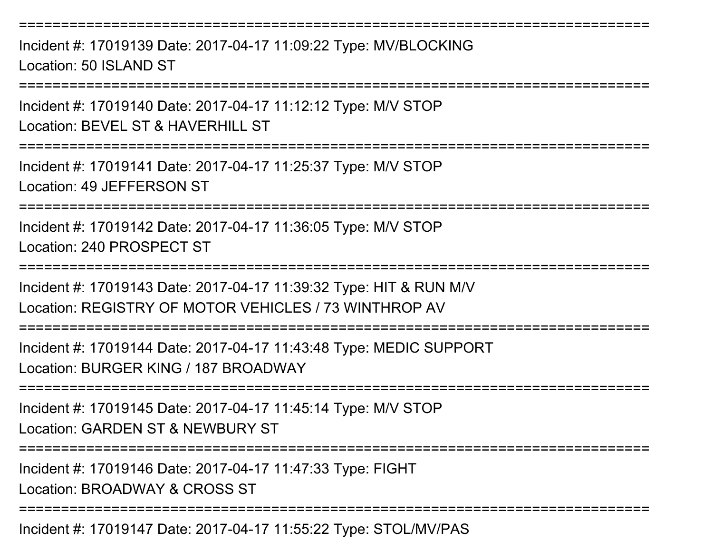===========================================================================Incident #: 17019139 Date: 2017-04-17 11:09:22 Type: MV/BLOCKINGLocation: 50 ISLAND ST

===========================================================================

Incident #: 17019140 Date: 2017-04-17 11:12:12 Type: M/V STOP

Location: BEVEL ST & HAVERHILL ST

===========================================================================

Incident #: 17019141 Date: 2017-04-17 11:25:37 Type: M/V STOPLocation: 49 JEFFERSON ST

===========================================================================

Incident #: 17019142 Date: 2017-04-17 11:36:05 Type: M/V STOPLocation: 240 PROSPECT ST

===========================================================================

Incident #: 17019143 Date: 2017-04-17 11:39:32 Type: HIT & RUN M/VLocation: REGISTRY OF MOTOR VEHICLES / 73 WINTHROP AV

===========================================================================

Incident #: 17019144 Date: 2017-04-17 11:43:48 Type: MEDIC SUPPORTLocation: BURGER KING / 187 BROADWAY

===========================================================================

Incident #: 17019145 Date: 2017-04-17 11:45:14 Type: M/V STOPLocation: GARDEN ST & NEWBURY ST

===========================================================================

Incident #: 17019146 Date: 2017-04-17 11:47:33 Type: FIGHT

Location: BROADWAY & CROSS ST

===========================================================================

Incident #: 17019147 Date: 2017-04-17 11:55:22 Type: STOL/MV/PAS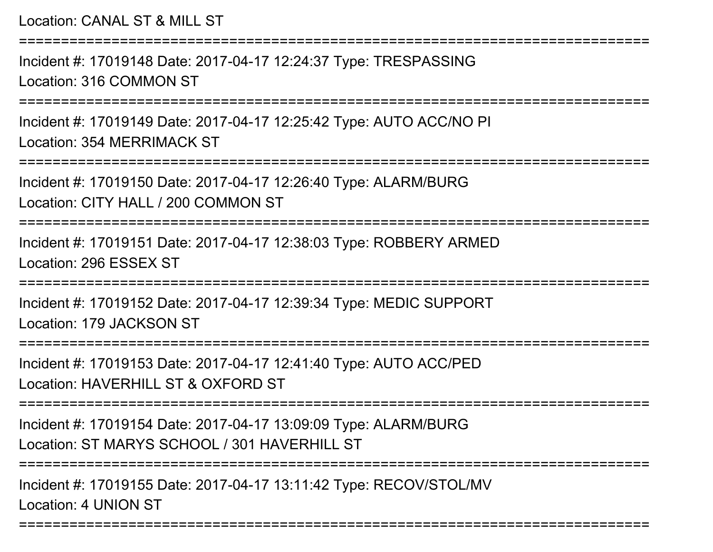Location: CANAL ST & MILL ST

Incident #: 17019148 Date: 2017-04-17 12:24:37 Type: TRESPASSINGLocation: 316 COMMON ST

===========================================================================

===========================================================================

Incident #: 17019149 Date: 2017-04-17 12:25:42 Type: AUTO ACC/NO PILocation: 354 MERRIMACK ST

===========================================================================

Incident #: 17019150 Date: 2017-04-17 12:26:40 Type: ALARM/BURGLocation: CITY HALL / 200 COMMON ST

===========================================================================

Incident #: 17019151 Date: 2017-04-17 12:38:03 Type: ROBBERY ARMEDLocation: 296 ESSEX ST

===========================================================================

Incident #: 17019152 Date: 2017-04-17 12:39:34 Type: MEDIC SUPPORTLocation: 179 JACKSON ST

===========================================================================

Incident #: 17019153 Date: 2017-04-17 12:41:40 Type: AUTO ACC/PEDLocation: HAVERHILL ST & OXEORD ST

**===============** 

Incident #: 17019154 Date: 2017-04-17 13:09:09 Type: ALARM/BURGLocation: ST MARYS SCHOOL / 301 HAVERHILL ST

===========================================================================

===========================================================================

Incident #: 17019155 Date: 2017-04-17 13:11:42 Type: RECOV/STOL/MVLocation: 4 UNION ST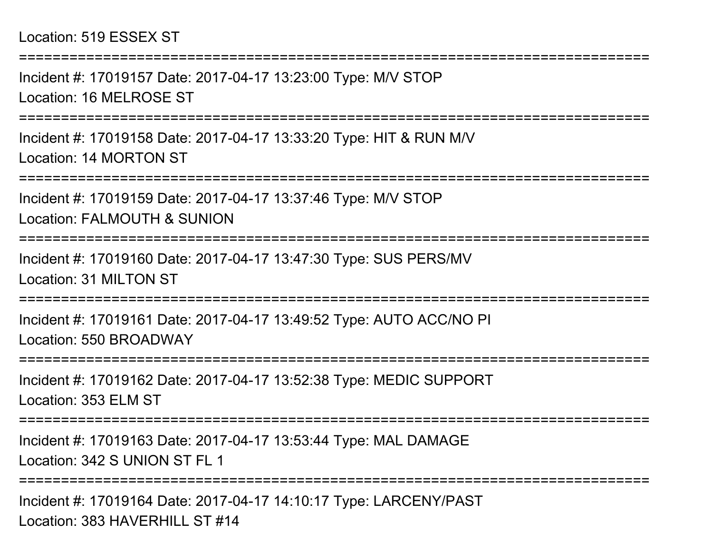Incident #: 17019157 Date: 2017-04-17 13:23:00 Type: M/V STOPLocation: 16 MELROSE ST

===========================================================================

===========================================================================

Incident #: 17019158 Date: 2017-04-17 13:33:20 Type: HIT & RUN M/VLocation: 14 MORTON ST

===========================================================================

Incident #: 17019159 Date: 2017-04-17 13:37:46 Type: M/V STOPLocation: FALMOUTH & SUNION

===========================================================================

Incident #: 17019160 Date: 2017-04-17 13:47:30 Type: SUS PERS/MVLocation: 31 MILTON ST

===============

Incident #: 17019161 Date: 2017-04-17 13:49:52 Type: AUTO ACC/NO PILocation: 550 BROADWAY

===========================================================================

Incident #: 17019162 Date: 2017-04-17 13:52:38 Type: MEDIC SUPPORTLocation: 353 ELM ST

===========================================================================

Incident #: 17019163 Date: 2017-04-17 13:53:44 Type: MAL DAMAGELocation: 342 S UNION ST FL 1

===========================================================================

Incident #: 17019164 Date: 2017-04-17 14:10:17 Type: LARCENY/PASTLocation: 383 HAVERHILL ST #14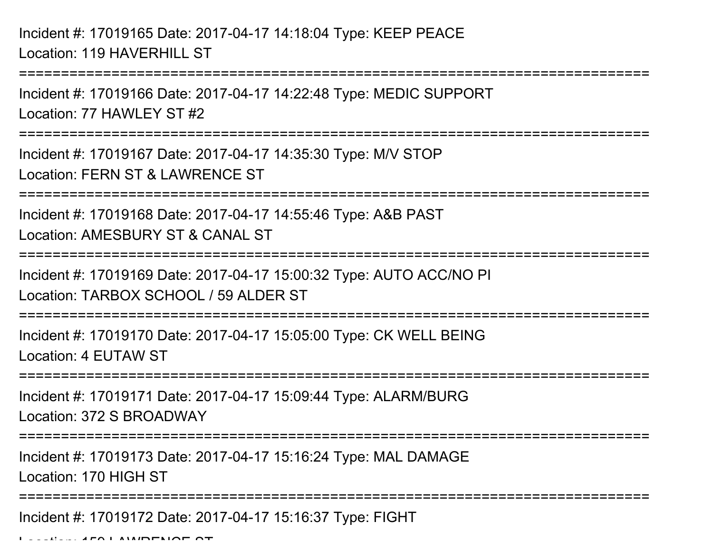Incident #: 17019165 Date: 2017-04-17 14:18:04 Type: KEEP PEACELocation: 119 HAVERHILL ST

Incident #: 17019166 Date: 2017-04-17 14:22:48 Type: MEDIC SUPPORTLocation: 77 HAWLEY ST #2

===========================================================================

===========================================================================

Incident #: 17019167 Date: 2017-04-17 14:35:30 Type: M/V STOPLocation: FERN ST & LAWRENCE ST

===========================================================================

Incident #: 17019168 Date: 2017-04-17 14:55:46 Type: A&B PASTLocation: AMESBURY ST & CANAL ST

===========================================================================

Incident #: 17019169 Date: 2017-04-17 15:00:32 Type: AUTO ACC/NO PILocation: TARBOX SCHOOL / 59 ALDER ST

===========================================================================

Incident #: 17019170 Date: 2017-04-17 15:05:00 Type: CK WELL BEINGLocation: 4 EUTAW ST

===========================================================================

Incident #: 17019171 Date: 2017-04-17 15:09:44 Type: ALARM/BURGLocation: 372 S BROADWAY

===========================================================================

Incident #: 17019173 Date: 2017-04-17 15:16:24 Type: MAL DAMAGE

Location: 170 HIGH ST

===========================================================================

Incident #: 17019172 Date: 2017-04-17 15:16:37 Type: FIGHT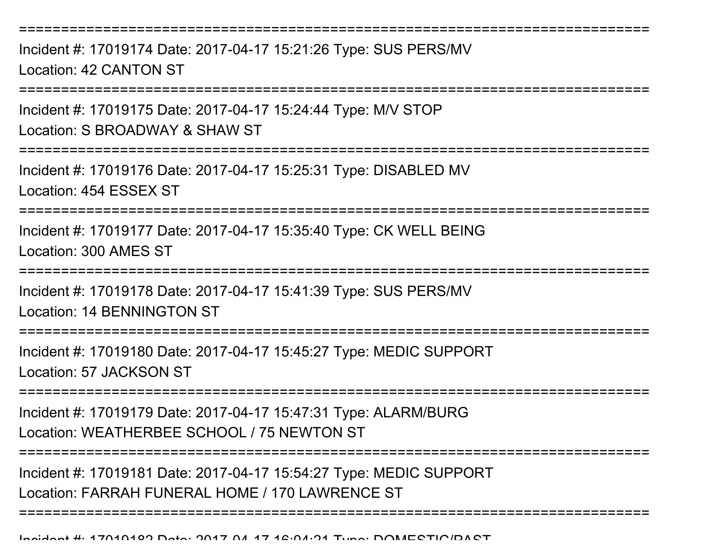===========================================================================

Incident #: 17019174 Date: 2017-04-17 15:21:26 Type: SUS PERS/MVLocation: 42 CANTON ST

===========================================================================

Incident #: 17019175 Date: 2017-04-17 15:24:44 Type: M/V STOP

Location: S BROADWAY & SHAW ST

===========================================================================

Incident #: 17019176 Date: 2017-04-17 15:25:31 Type: DISABLED MVLocation: 454 ESSEX ST

===========================================================================

Incident #: 17019177 Date: 2017-04-17 15:35:40 Type: CK WELL BEINGLocation: 300 AMES ST

=========================

Incident #: 17019178 Date: 2017-04-17 15:41:39 Type: SUS PERS/MVLocation: 14 BENNINGTON ST

===========================================================================

Incident #: 17019180 Date: 2017-04-17 15:45:27 Type: MEDIC SUPPORTLocation: 57 JACKSON ST

===========================================================================

Incident #: 17019179 Date: 2017-04-17 15:47:31 Type: ALARM/BURGLocation: WEATHERBEE SCHOOL / 75 NEWTON ST

===========================================================================

===========================================================================

Incident #: 17019181 Date: 2017-04-17 15:54:27 Type: MEDIC SUPPORTLocation: FARRAH FUNERAL HOME / 170 LAWRENCE ST

Incident #: 17019182 Date: 2017 <sup>04</sup> 17 16:04:21 Type: DOMESTIC/PAST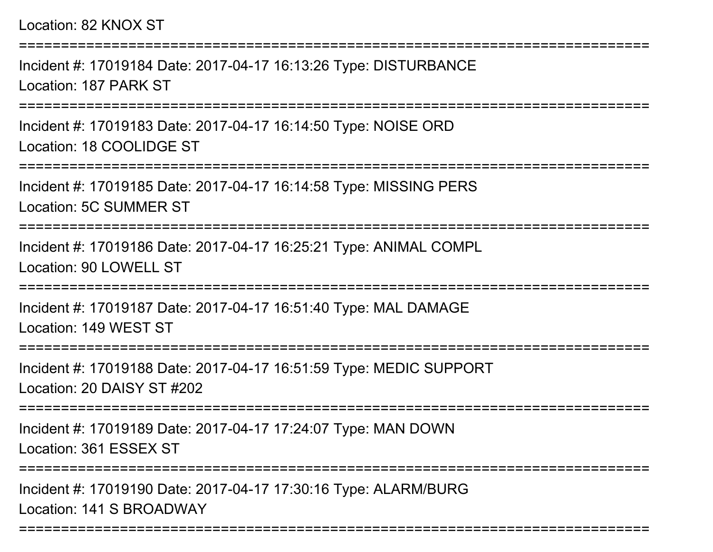## Location: 82 KNOX ST

Incident #: 17019184 Date: 2017-04-17 16:13:26 Type: DISTURBANCELocation: 187 PARK ST

===========================================================================

Incident #: 17019183 Date: 2017-04-17 16:14:50 Type: NOISE ORDLocation: 18 COOLIDGE ST

===========================================================================

===========================================================================

Incident #: 17019185 Date: 2017-04-17 16:14:58 Type: MISSING PERSLocation: 5C SUMMER ST

===========================================================================

Incident #: 17019186 Date: 2017-04-17 16:25:21 Type: ANIMAL COMPLLocation: 90 LOWELL ST

===========================================================================

Incident #: 17019187 Date: 2017-04-17 16:51:40 Type: MAL DAMAGELocation: 149 WEST ST

========================

Incident #: 17019188 Date: 2017-04-17 16:51:59 Type: MEDIC SUPPORTLocation: 20 DAISY ST #202

===========================================================================

Incident #: 17019189 Date: 2017-04-17 17:24:07 Type: MAN DOWNLocation: 361 ESSEX ST

===========================================================================

Incident #: 17019190 Date: 2017-04-17 17:30:16 Type: ALARM/BURGLocation: 141 S BROADWAY

===========================================================================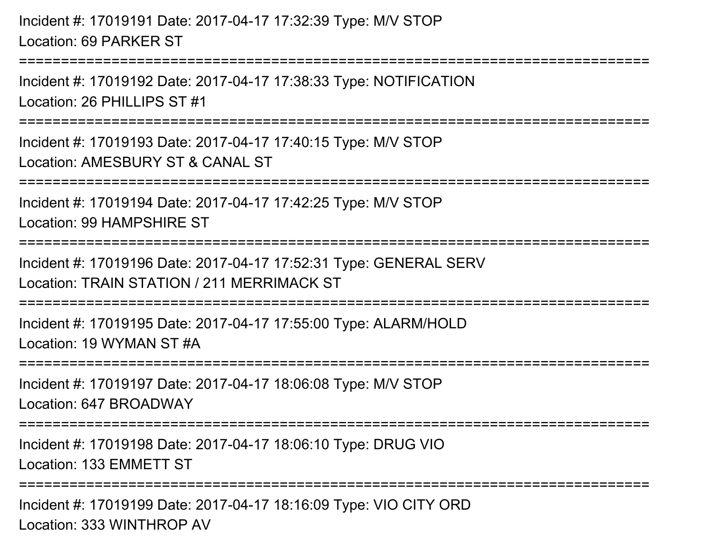## Incident #: 17019191 Date: 2017-04-17 17:32:39 Type: M/V STOPLocation: 69 PARKER ST

===========================================================================

Incident #: 17019192 Date: 2017-04-17 17:38:33 Type: NOTIFICATIONLocation: 26 PHILLIPS ST #1

===========================================================================

Incident #: 17019193 Date: 2017-04-17 17:40:15 Type: M/V STOPLocation: AMESBURY ST & CANAL ST

===========================================================================

Incident #: 17019194 Date: 2017-04-17 17:42:25 Type: M/V STOP

Location: 99 HAMPSHIRE ST

============================

Incident #: 17019196 Date: 2017-04-17 17:52:31 Type: GENERAL SERVLocation: TRAIN STATION / 211 MERRIMACK ST

===========================================================================

Incident #: 17019195 Date: 2017-04-17 17:55:00 Type: ALARM/HOLDLocation: 19 WYMAN ST #A

===========================================================================

Incident #: 17019197 Date: 2017-04-17 18:06:08 Type: M/V STOP

Location: 647 BROADWAY

===========================================================================

Incident #: 17019198 Date: 2017-04-17 18:06:10 Type: DRUG VIOLocation: 133 EMMETT ST

===========================================================================

Incident #: 17019199 Date: 2017-04-17 18:16:09 Type: VIO CITY ORDLocation: 333 WINTHROP AV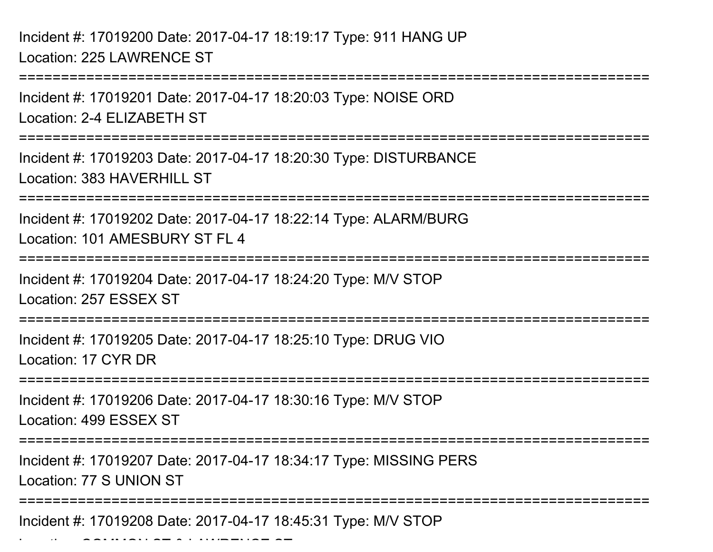Incident #: 17019200 Date: 2017-04-17 18:19:17 Type: 911 HANG UPLocation: 225 LAWRENCE ST

Location: Common St & Lawrence St & Lawrence St & Lawrence St & Lawrence St & Lawrence St & Lawrence St & Lawre

===========================================================================Incident #: 17019201 Date: 2017-04-17 18:20:03 Type: NOISE ORDLocation: 2-4 ELIZABETH ST===========================================================================Incident #: 17019203 Date: 2017-04-17 18:20:30 Type: DISTURBANCELocation: 383 HAVERHILL ST ===========================================================================Incident #: 17019202 Date: 2017-04-17 18:22:14 Type: ALARM/BURGLocation: 101 AMESBURY ST FL 4 ===========================================================================Incident #: 17019204 Date: 2017-04-17 18:24:20 Type: M/V STOPLocation: 257 ESSEX ST===========================================================================Incident #: 17019205 Date: 2017-04-17 18:25:10 Type: DRUG VIOLocation: 17 CYR DR ===========================================================================Incident #: 17019206 Date: 2017-04-17 18:30:16 Type: M/V STOPLocation: 499 ESSEX ST===========================================================================Incident #: 17019207 Date: 2017-04-17 18:34:17 Type: MISSING PERSLocation: 77 S UNION ST===========================================================================Incident #: 17019208 Date: 2017-04-17 18:45:31 Type: M/V STOP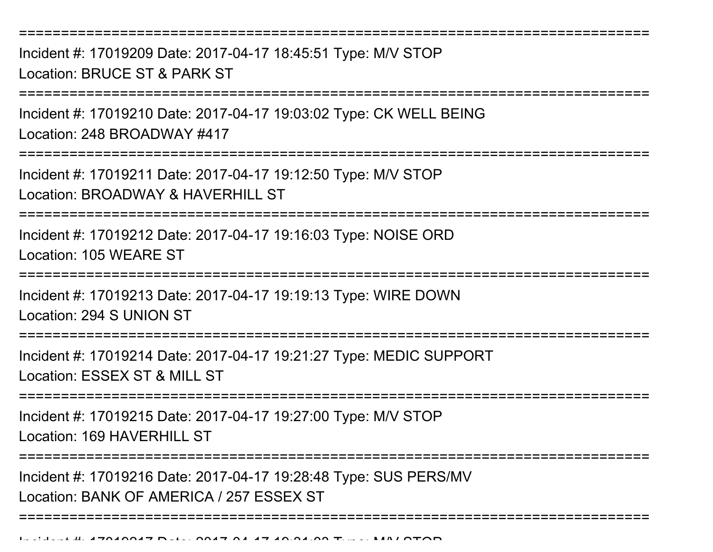===========================================================================

Incident #: 17019209 Date: 2017-04-17 18:45:51 Type: M/V STOPLocation: BRUCE ST & PARK ST

===========================================================================

Incident #: 17019210 Date: 2017-04-17 19:03:02 Type: CK WELL BEINGLocation: 248 BROADWAY #417

===========================================================================

Incident #: 17019211 Date: 2017-04-17 19:12:50 Type: M/V STOPLocation: BROADWAY & HAVERHILL ST

===========================================================================

Incident #: 17019212 Date: 2017-04-17 19:16:03 Type: NOISE ORDLocation: 105 WEARE ST

===========================================================================

Incident #: 17019213 Date: 2017-04-17 19:19:13 Type: WIRE DOWN

Location: 294 S UNION ST

===========================================================================

Incident #: 17019214 Date: 2017-04-17 19:21:27 Type: MEDIC SUPPORTLocation: ESSEX ST & MILL ST

===========================================================================

Incident #: 17019215 Date: 2017-04-17 19:27:00 Type: M/V STOPLocation: 169 HAVERHILL ST

=================

===========================================================================

Incident #: 17019216 Date: 2017-04-17 19:28:48 Type: SUS PERS/MVLocation: BANK OF AMERICA / 257 ESSEX ST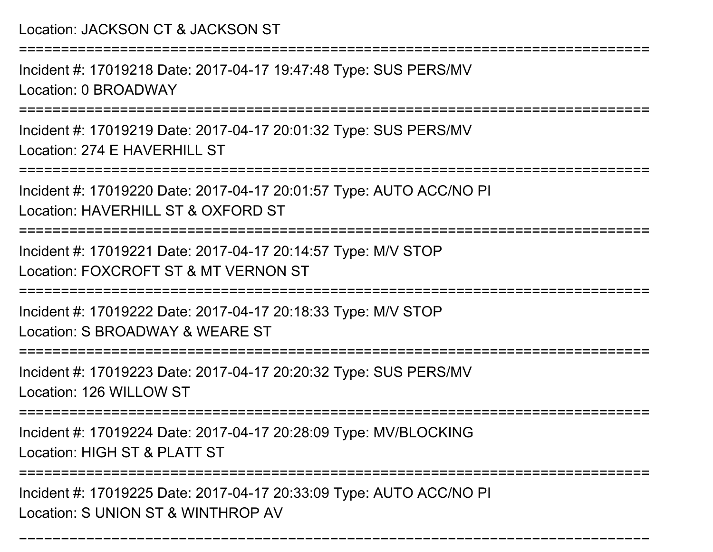===========================================================================

Incident #: 17019218 Date: 2017-04-17 19:47:48 Type: SUS PERS/MVLocation: 0 BROADWAY

**==============** 

Incident #: 17019219 Date: 2017-04-17 20:01:32 Type: SUS PERS/MVLocation: 274 F HAVERHILL ST

```
===========================================================================
```
Incident #: 17019220 Date: 2017-04-17 20:01:57 Type: AUTO ACC/NO PILocation: HAVERHILL ST & OXFORD ST

===========================================================================

Incident #: 17019221 Date: 2017-04-17 20:14:57 Type: M/V STOPLocation: FOXCROFT ST & MT VERNON ST

===========================================================================

Incident #: 17019222 Date: 2017-04-17 20:18:33 Type: M/V STOP

Location: S BROADWAY & WEARE ST

=================

Incident #: 17019223 Date: 2017-04-17 20:20:32 Type: SUS PERS/MVLocation: 126 WILLOW ST

===========================================================================

Incident #: 17019224 Date: 2017-04-17 20:28:09 Type: MV/BLOCKINGLocation: HIGH ST & PLATT ST

====================

Incident #: 17019225 Date: 2017-04-17 20:33:09 Type: AUTO ACC/NO PILocation: S UNION ST & WINTHROP AV

```
===========================================================================
```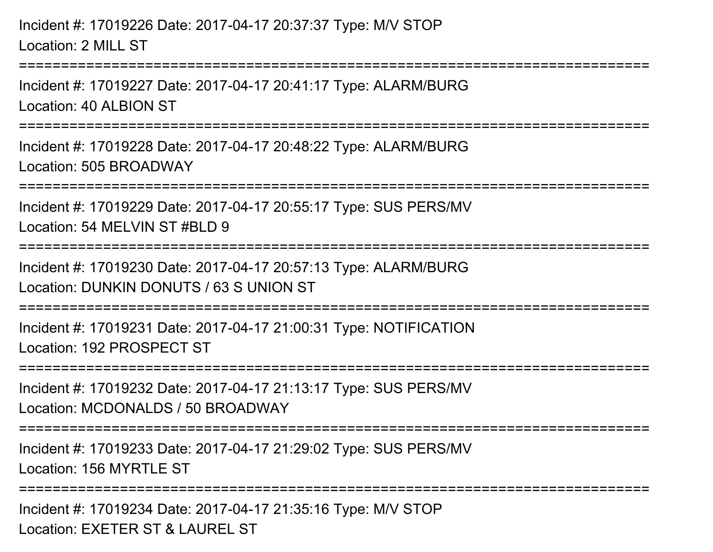```
Incident #: 17019226 Date: 2017-04-17 20:37:37 Type: M/V STOPLocation: 2 MILL ST===========================================================================Incident #: 17019227 Date: 2017-04-17 20:41:17 Type: ALARM/BURGLocation: 40 ALBION ST
===========================================================================Incident #: 17019228 Date: 2017-04-17 20:48:22 Type: ALARM/BURGLocation: 505 BROADWAY===========================================================================Incident #: 17019229 Date: 2017-04-17 20:55:17 Type: SUS PERS/MVLocation: 54 MFLVIN ST #BLD 9
===========================================================================Incident #: 17019230 Date: 2017-04-17 20:57:13 Type: ALARM/BURGLocation: DUNKIN DONUTS / 63 S UNION ST===========================================================================Incident #: 17019231 Date: 2017-04-17 21:00:31 Type: NOTIFICATIONLocation: 192 PROSPECT ST===========================================================================Incident #: 17019232 Date: 2017-04-17 21:13:17 Type: SUS PERS/MVLocation: MCDONALDS / 50 BROADWAY===================
Incident #: 17019233 Date: 2017-04-17 21:29:02 Type: SUS PERS/MVLocation: 156 MYRTLE ST
                  ====================
Incident #: 17019234 Date: 2017-04-17 21:35:16 Type: M/V STOPLocation: EXETER ST & LAUREL ST
```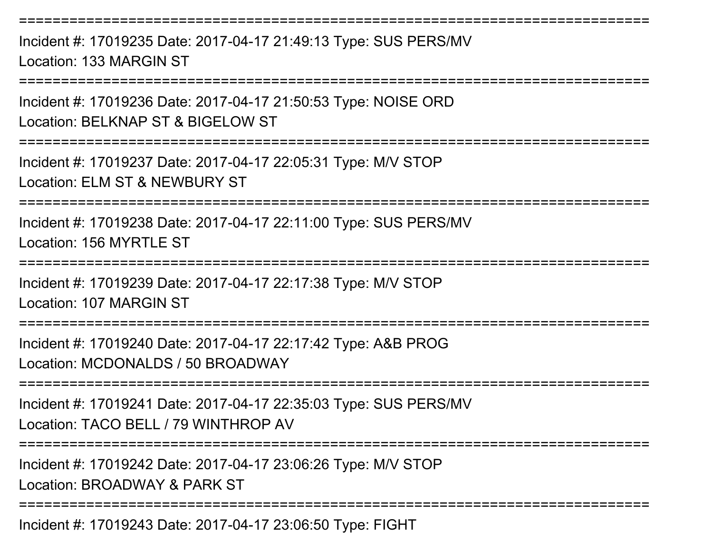===========================================================================Incident #: 17019235 Date: 2017-04-17 21:49:13 Type: SUS PERS/MVLocation: 133 MARGIN ST===========================================================================Incident #: 17019236 Date: 2017-04-17 21:50:53 Type: NOISE ORDLocation: BELKNAP ST & BIGELOW ST===========================================================================Incident #: 17019237 Date: 2017-04-17 22:05:31 Type: M/V STOPLocation: ELM ST & NEWBURY ST===========================================================================Incident #: 17019238 Date: 2017-04-17 22:11:00 Type: SUS PERS/MVLocation: 156 MYRTLE ST===========================================================================Incident #: 17019239 Date: 2017-04-17 22:17:38 Type: M/V STOPLocation: 107 MARGIN ST===========================================================================Incident #: 17019240 Date: 2017-04-17 22:17:42 Type: A&B PROGLocation: MCDONALDS / 50 BROADWAY===========================================================================Incident #: 17019241 Date: 2017-04-17 22:35:03 Type: SUS PERS/MVLocation: TACO BELL / 79 WINTHROP AV===========================================================================Incident #: 17019242 Date: 2017-04-17 23:06:26 Type: M/V STOPLocation: BROADWAY & PARK ST===========================================================================Incident #: 17019243 Date: 2017-04-17 23:06:50 Type: FIGHT